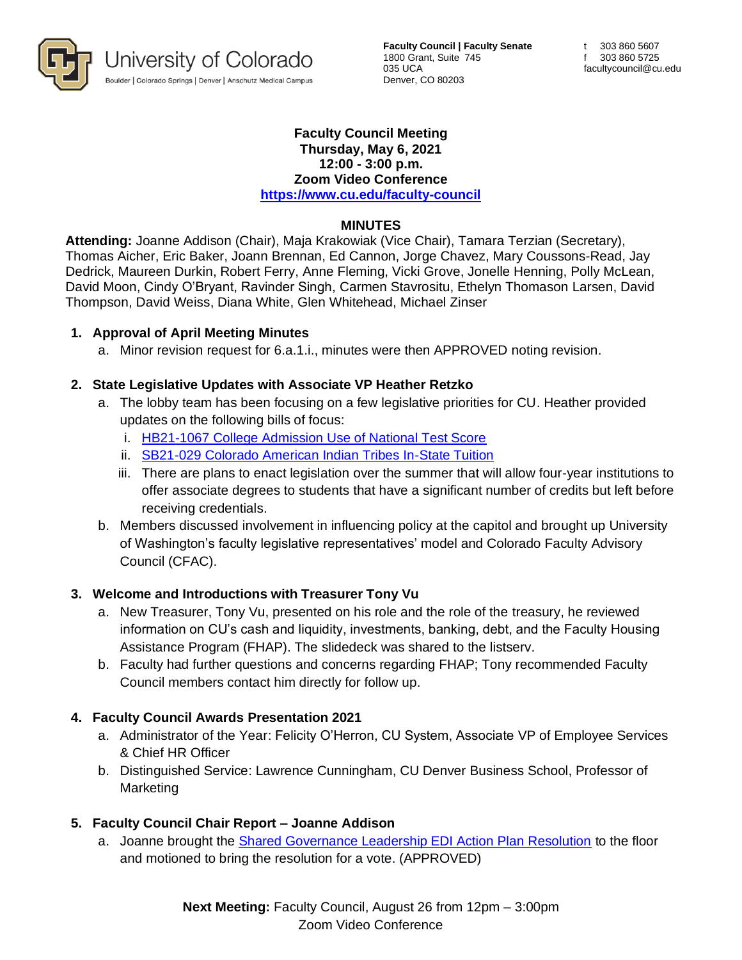

**Faculty Council | Faculty Senate** 1800 Grant, Suite 745 035 UCA Denver, CO 80203

#### **Faculty Council Meeting Thursday, May 6, 2021 12:00 - 3:00 p.m. Zoom Video Conference <https://www.cu.edu/faculty-council>**

### **MINUTES**

**Attending:** Joanne Addison (Chair), Maja Krakowiak (Vice Chair), Tamara Terzian (Secretary), Thomas Aicher, Eric Baker, Joann Brennan, Ed Cannon, Jorge Chavez, Mary Coussons-Read, Jay Dedrick, Maureen Durkin, Robert Ferry, Anne Fleming, Vicki Grove, Jonelle Henning, Polly McLean, David Moon, Cindy O'Bryant, Ravinder Singh, Carmen Stavrositu, Ethelyn Thomason Larsen, David Thompson, David Weiss, Diana White, Glen Whitehead, Michael Zinser

#### **1. Approval of April Meeting Minutes**

a. Minor revision request for 6.a.1.i., minutes were then APPROVED noting revision.

#### **2. State Legislative Updates with Associate VP Heather Retzko**

- a. The lobby team has been focusing on a few legislative priorities for CU. Heather provided updates on the following bills of focus:
	- i. [HB21-1067 College Admission Use of National Test Score](https://leg.colorado.gov/bills/hb21-1067)
	- ii. [SB21-029 Colorado American Indian Tribes In-State Tuition](https://leg.colorado.gov/bills/sb21-029)
	- iii. There are plans to enact legislation over the summer that will allow four-year institutions to offer associate degrees to students that have a significant number of credits but left before receiving credentials.
- b. Members discussed involvement in influencing policy at the capitol and brought up University of Washington's faculty legislative representatives' model and Colorado Faculty Advisory Council (CFAC).

#### **3. Welcome and Introductions with Treasurer Tony Vu**

- a. New Treasurer, Tony Vu, presented on his role and the role of the treasury, he reviewed information on CU's cash and liquidity, investments, banking, debt, and the Faculty Housing Assistance Program (FHAP). The slidedeck was shared to the listserv.
- b. Faculty had further questions and concerns regarding FHAP; Tony recommended Faculty Council members contact him directly for follow up.

## **4. Faculty Council Awards Presentation 2021**

- a. Administrator of the Year: Felicity O'Herron, CU System, Associate VP of Employee Services & Chief HR Officer
- b. Distinguished Service: Lawrence Cunningham, CU Denver Business School, Professor of Marketing

## **5. Faculty Council Chair Report – Joanne Addison**

a. Joanne brought the [Shared Governance Leadership EDI Action Plan Resolution](https://www.cu.edu/system/files/pages/1812-resolutions-memos-and-statements/docs/fc-edi-final_0.pdf) to the floor and motioned to bring the resolution for a vote. (APPROVED)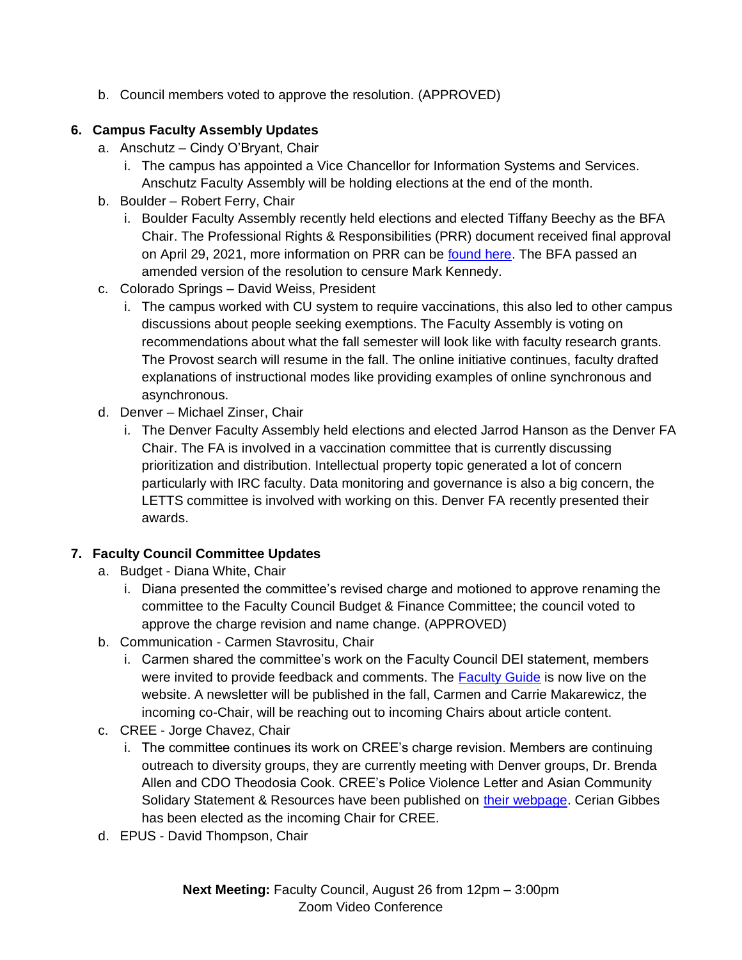b. Council members voted to approve the resolution. (APPROVED)

# **6. Campus Faculty Assembly Updates**

- a. Anschutz Cindy O'Bryant, Chair
	- i. The campus has appointed a Vice Chancellor for Information Systems and Services. Anschutz Faculty Assembly will be holding elections at the end of the month.
- b. Boulder Robert Ferry, Chair
	- i. Boulder Faculty Assembly recently held elections and elected Tiffany Beechy as the BFA Chair. The Professional Rights & Responsibilities (PRR) document received final approval on April 29, 2021, more information on PRR can be [found here.](https://www.colorado.edu/bfa/resources/prr) The BFA passed an amended version of the resolution to censure Mark Kennedy.
- c. Colorado Springs David Weiss, President
	- i. The campus worked with CU system to require vaccinations, this also led to other campus discussions about people seeking exemptions. The Faculty Assembly is voting on recommendations about what the fall semester will look like with faculty research grants. The Provost search will resume in the fall. The online initiative continues, faculty drafted explanations of instructional modes like providing examples of online synchronous and asynchronous.
- d. Denver Michael Zinser, Chair
	- i. The Denver Faculty Assembly held elections and elected Jarrod Hanson as the Denver FA Chair. The FA is involved in a vaccination committee that is currently discussing prioritization and distribution. Intellectual property topic generated a lot of concern particularly with IRC faculty. Data monitoring and governance is also a big concern, the LETTS committee is involved with working on this. Denver FA recently presented their awards.

# **7. Faculty Council Committee Updates**

- a. Budget Diana White, Chair
	- i. Diana presented the committee's revised charge and motioned to approve renaming the committee to the Faculty Council Budget & Finance Committee; the council voted to approve the charge revision and name change. (APPROVED)
- b. Communication Carmen Stavrositu, Chair
	- i. Carmen shared the committee's work on the Faculty Council DEI statement, members were invited to provide feedback and comments. The [Faculty Guide](https://www.cu.edu/faculty-council/faculty-guide) is now live on the website. A newsletter will be published in the fall, Carmen and Carrie Makarewicz, the incoming co-Chair, will be reaching out to incoming Chairs about article content.
- c. CREE Jorge Chavez, Chair
	- i. The committee continues its work on CREE's charge revision. Members are continuing outreach to diversity groups, they are currently meeting with Denver groups, Dr. Brenda Allen and CDO Theodosia Cook. CREE's Police Violence Letter and Asian Community Solidary Statement & Resources have been published on [their webpage.](https://www.cu.edu/faculty-council/committees/committee-on-racial-and-ethnic-equity) Cerian Gibbes has been elected as the incoming Chair for CREE.
- d. EPUS David Thompson, Chair